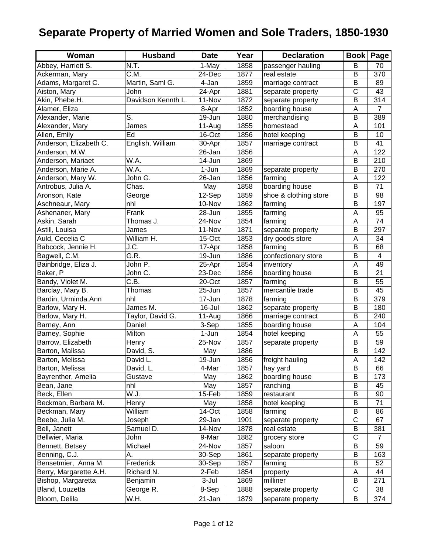| Woman                  | <b>Husband</b>     | <b>Date</b> | Year | <b>Declaration</b>    | <b>Book</b>    | Page                    |
|------------------------|--------------------|-------------|------|-----------------------|----------------|-------------------------|
| Abbey, Harriett S.     | N.T.               | 1-May       | 1858 | passenger hauling     | $\overline{B}$ | 70                      |
| Ackerman, Mary         | C.M.               | 24-Dec      | 1877 | real estate           | B              | 370                     |
| Adams, Margaret C.     | Martin, Saml G.    | 4-Jan       | 1859 | marriage contract     | В              | 89                      |
| Aiston, Mary           | John               | 24-Apr      | 1881 | separate property     | $\overline{C}$ | 43                      |
| Akin, Phebe.H.         | Davidson Kennth L. | 11-Nov      | 1872 | separate property     | B              | 314                     |
| Alamer, Eliza          |                    | 8-Apr       | 1852 | boarding house        | A              | $\overline{7}$          |
| Alexander, Marie       | S.                 | 19-Jun      | 1880 | merchandising         | B              | 389                     |
| Alexander, Mary        | James              | 11-Aug      | 1855 | homestead             | A              | 101                     |
| Allen, Emily           | Ed                 | 16-Oct      | 1856 | hotel keeping         | В              | 10                      |
| Anderson, Elizabeth C. | English, William   | 30-Apr      | 1857 | marriage contract     | B              | 41                      |
| Anderson, M.W.         |                    | 26-Jan      | 1856 |                       | A              | 122                     |
| Anderson, Mariaet      | W.A.               | 14-Jun      | 1869 |                       | B              | 210                     |
| Anderson, Marie A.     | W.A.               | 1-Jun       | 1869 | separate property     | B              | 270                     |
| Anderson, Mary W.      | John G.            | 26-Jan      | 1856 | farming               | A              | 122                     |
| Antrobus, Julia A.     | Chas.              | May         | 1858 | boarding house        | B              | 71                      |
| Aronson, Kate          | George             | $12$ -Sep   | 1859 | shoe & clothing store | B              | 98                      |
| Aschneaur, Mary        | nhl                | 10-Nov      | 1862 | farming               | B              | 197                     |
| Ashenaner, Mary        | Frank              | 28-Jun      | 1855 | farming               | A              | 95                      |
| Askin, Sarah           | Thomas J.          | 24-Nov      | 1854 | farming               | A              | 74                      |
| Astill, Louisa         | James              | 11-Nov      | 1871 | separate property     | B              | 297                     |
| Auld, Cecelia C        | William H.         | 15-Oct      | 1853 | dry goods store       | A              | 34                      |
| Babcock, Jennie H.     | J.C.               | 17-Apr      | 1858 | farming               | B              | 68                      |
| Bagwell, C.M.          | G.R.               | 19-Jun      | 1886 | confectionary store   | B              | $\overline{\mathbf{4}}$ |
| Bainbridge, Eliza J.   | John P.            | 25-Apr      | 1854 | inventory             | A              | 49                      |
| Baker, P               | John C.            | 23-Dec      | 1856 | boarding house        | B              | 21                      |
| Bandy, Violet M.       | $\overline{C.B.}$  | 20-Oct      | 1857 | farming               | B              | 55                      |
| Barclay, Mary B.       | Thomas             | 25-Jun      | 1857 | mercantile trade      | В              | 45                      |
| Bardin, Urminda.Ann    | nhl                | 17-Jun      | 1878 |                       | В              | 379                     |
|                        | James M.           |             | 1862 | farming               | B              | 180                     |
| Barlow, Mary H.        |                    | 16-Jul      |      | separate property     | B              |                         |
| Barlow, Mary H.        | Taylor, David G.   | $11-Au$ g   | 1866 | marriage contract     | A              | 240<br>104              |
| Barney, Ann            | Daniel             | $3-Sep$     | 1855 | boarding house        |                |                         |
| Barney, Sophie         | Milton             | $1-Jun$     | 1854 | hotel keeping         | A<br>B         | 55                      |
| Barrow, Elizabeth      | Henry              | 25-Nov      | 1857 | separate property     |                | 59                      |
| Barton, Malissa        | David, S.          | May         | 1886 |                       | B              | 142                     |
| Barton, Melissa        | David L.           | 19-Jun      | 1856 | freight hauling       | A              | 142                     |
| Barton, Melissa        | David, L.          | 4-Mar       | 1857 | hay yard              | В              | 66                      |
| Bayrenther, Amelia     | Gustave            | May         | 1862 | boarding house        | B              | 173                     |
| Bean, Jane             | nhl                | May         | 1857 | ranching              | B              | 45                      |
| Beck, Ellen            | W.J.               | 15-Feb      | 1859 | restaurant            | B              | 90                      |
| Beckman, Barbara M.    | Henry              | May         | 1858 | hotel keeping         | B              | 71                      |
| Beckman, Mary          | William            | 14-Oct      | 1858 | farming               | B              | 86                      |
| Beebe, Julia M.        | Joseph             | 29-Jan      | 1901 | separate property     | $\mathsf C$    | 67                      |
| Bell, Janett           | Samuel D.          | 14-Nov      | 1878 | real estate           | B              | 381                     |
| Bellwier, Maria        | John               | 9-Mar       | 1882 | grocery store         | $\mathsf C$    | $\overline{7}$          |
| Bennett, Betsey        | Michael            | 24-Nov      | 1857 | saloon                | B              | 59                      |
| Benning, C.J.          | Α.                 | 30-Sep      | 1861 | separate property     | B              | 163                     |
| Bensetmier, Anna M.    | Frederick          | 30-Sep      | 1857 | farming               | B              | 52                      |
| Berry, Margarette A.H. | Richard N.         | 2-Feb       | 1854 | property              | Α              | 44                      |
| Bishop, Margaretta     | Benjamin           | 3-Jul       | 1869 | milliner              | B              | 271                     |
| Bland, Louzetta        | George R.          | 8-Sep       | 1888 | separate property     | C              | 38                      |
| Bloom, Delila          | W.H.               | 21-Jan      | 1879 | separate property     | B              | 374                     |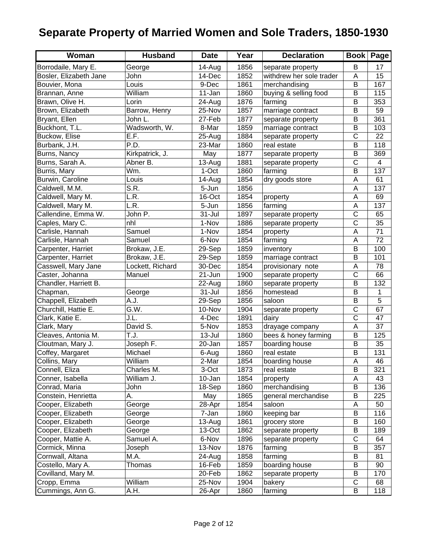| Woman                  | <b>Husband</b>   | <b>Date</b>          | Year | <b>Declaration</b>       |                       | <b>Book Page</b> |
|------------------------|------------------|----------------------|------|--------------------------|-----------------------|------------------|
| Borrodaile, Mary E.    | George           | 14-Aug               | 1856 | separate property        | В                     | 17               |
| Bosler, Elizabeth Jane | John             | 14-Dec               | 1852 | withdrew her sole trader | A                     | 15               |
| Bouvier, Mona          | Louis            | 9-Dec                | 1861 | merchandising            | B                     | 167              |
| Brannan, Anne          | William          | 11-Jan               | 1860 | buying & selling food    | B                     | 115              |
| Brawn, Olive H.        | Lorin            | $\overline{2}$ 4-Aug | 1876 | farming                  | B                     | 353              |
| Brown, Elizabeth       | Barrow, Henry    | 25-Nov               | 1857 | marriage contract        | В                     | 59               |
| Bryant, Ellen          | John L.          | 27-Feb               | 1877 | separate property        | B                     | 361              |
| Buckhont, T.L.         | Wadsworth, W.    | 8-Mar                | 1859 | marriage contract        | B                     | 103              |
| Buckow, Elise          | E.F.             | $25 - Aug$           | 1884 | separate property        | C                     | 22               |
| Burbank, J.H.          | P.D.             | 23-Mar               | 1860 | real estate              | B                     | 118              |
| Burns, Nancy           | Kirkpatrick, J.  | May                  | 1877 | separate property        | B                     | 369              |
| Burns, Sarah A.        | Abner B.         | 13-Aug               | 1881 | separate property        | $\overline{\text{c}}$ | 4                |
| Burris, Mary           | Wm.              | 1-Oct                | 1860 | farming                  | B                     | 137              |
| Burwin, Caroline       | Louis            | 14-Aug               | 1854 | dry goods store          | A                     | 61               |
| Caldwell, M.M.         | S.R.             | 5-Jun                | 1856 |                          | A                     | 137              |
| Caldwell, Mary M.      | L.R.             | 16-Oct               | 1854 | property                 | A                     | 69               |
| Caldwell, Mary M.      | L.R.             | 5-Jun                | 1856 | farming                  | A                     | 137              |
| Callendine, Emma W.    | John P.          | 31-Jul               | 1897 | separate property        | C                     | 65               |
| Caples, Mary C.        | nhl              | 1-Nov                | 1886 | separate property        | C                     | 35               |
| Carlisle, Hannah       | Samuel           | 1-Nov                | 1854 | property                 | A                     | 71               |
| Carlisle, Hannah       | Samuel           | 6-Nov                | 1854 | farming                  | A                     | 72               |
| Carpenter, Harriet     | Brokaw, J.E.     | 29-Sep               | 1859 | inventory                | В                     | 100              |
| Carpenter, Harriet     | Brokaw, J.E.     | 29-Sep               | 1859 | marriage contract        | В                     | 101              |
| Casswell, Mary Jane    | Lockett, Richard | 30-Dec               | 1854 | provisionary note        | A                     | 78               |
| Caster, Johanna        | Manuel           | 21-Jun               | 1900 | separate property        | C                     | 66               |
| Chandler, Harriett B.  |                  | 22-Aug               | 1860 | separate property        | B                     | 132              |
| Chapman,               | George           | 31-Jul               | 1856 | homestead                | B                     | 1                |
| Chappell, Elizabeth    | A.J.             | $29-Sep$             | 1856 | saloon                   | B                     | 5                |
| Churchill, Hattie E.   | G.W.             | 10-Nov               | 1904 | separate property        | C                     | 67               |
| Clark, Katie E.        | J.L.             | 4-Dec                | 1891 | dairy                    | $\overline{\text{c}}$ | 47               |
| Clark, Mary            | David S.         | 5-Nov                | 1853 | drayage company          | A                     | 37               |
| Cleaves, Antonia M.    | T.J.             | 13-Jul               | 1860 | bees & honey farming     | B                     | 125              |
| Cloutman, Mary J.      | Joseph F.        | 20-Jan               | 1857 | boarding house           | B                     | 35               |
| Coffey, Margaret       | Michael          | $6 - Aug$            | 1860 | real estate              | B                     | 131              |
| Collins, Mary          | William          | $2-Mar$              | 1854 | boarding house           | A                     | 46               |
| Connell, Eliza         | Charles M.       | 3-Oct                | 1873 | real estate              | B                     | 321              |
| Conner, Isabella       | William J.       | 10-Jan               | 1854 | property                 | A                     | 43               |
| Conrad, Maria          | John             | 18-Sep               | 1860 | merchandising            | B                     | 136              |
| Constein, Henrietta    | Α.               | May                  | 1865 | general merchandise      | B                     | 225              |
| Cooper, Elizabeth      | George           | 28-Apr               | 1854 | saloon                   | Α                     | 50               |
| Cooper, Elizabeth      | George           | 7-Jan                | 1860 | keeping bar              | B                     | 116              |
| Cooper, Elizabeth      | George           | 13-Aug               | 1861 | grocery store            | B                     | 160              |
| Cooper, Elizabeth      | George           | 13-Oct               | 1862 | separate property        | B                     | 189              |
| Cooper, Mattie A.      | Samuel A.        | 6-Nov                | 1896 | separate property        | C                     | 64               |
| Cormick, Minna         | Joseph           | 13-Nov               | 1876 | farming                  | B                     | 357              |
| Cornwall, Altana       | M.A.             | 24-Aug               | 1858 | farming                  | B                     | 81               |
| Costello, Mary A.      | Thomas           | 16-Feb               | 1859 | boarding house           | B                     | 90               |
| Covilland, Mary M.     |                  | 20-Feb               | 1862 | separate property        | B                     | 170              |
| Cropp, Emma            | William          | 25-Nov               | 1904 | bakery                   | $\mathsf{C}$          | 68               |
| Cummings, Ann G.       | A.H.             | 26-Apr               | 1860 | farming                  | B                     | 118              |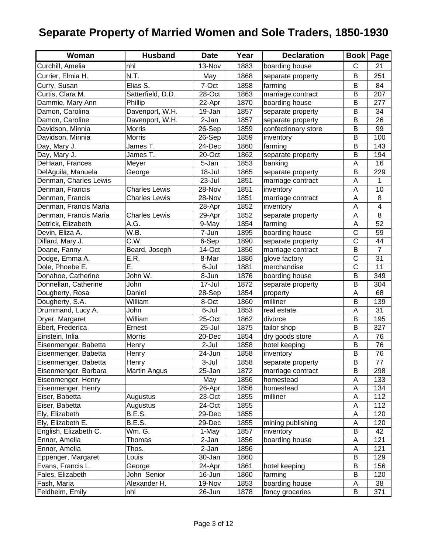| Woman                 | <b>Husband</b>       | <b>Date</b> | Year | <b>Declaration</b>  |   | <b>Book Page</b>        |
|-----------------------|----------------------|-------------|------|---------------------|---|-------------------------|
| Curchill, Amelia      | nhl                  | 13-Nov      | 1883 | boarding house      | C | 21                      |
| Currier, Elmia H.     | N.T.                 | May         | 1868 | separate property   | B | 251                     |
| Curry, Susan          | Elias S.             | 7-Oct       | 1858 | farming             | B | 84                      |
| Curtis, Clara M.      | Satterfield, D.D.    | 28-Oct      | 1863 | marriage contract   | B | 207                     |
| Dammie, Mary Ann      | Phillip              | 22-Apr      | 1870 | boarding house      | B | 277                     |
| Damon, Carolina       | Davenport, W.H.      | $19 - Jan$  | 1857 | separate property   | B | 34                      |
| Damon, Caroline       | Davenport, W.H.      | 2-Jan       | 1857 | separate property   | B | 26                      |
| Davidson, Minnia      | Morris               | 26-Sep      | 1859 | confectionary store | B | 99                      |
| Davidson, Minnia      | <b>Morris</b>        | 26-Sep      | 1859 | inventory           | B | 100                     |
| Day, Mary J.          | James T.             | 24-Dec      | 1860 | farming             | B | 143                     |
| Day, Mary J.          | James T.             | 20-Oct      | 1862 | separate property   | B | 194                     |
| DeHaan, Frances       | Meyer                | 5-Jan       | 1853 | banking             | A | 16                      |
| DelAguila, Manuela    | George               | 18-Jul      | 1865 | separate property   | B | 229                     |
| Denman, Charles Lewis |                      | 23-Jul      | 1851 | marriage contract   | A | 1                       |
| Denman, Francis       | <b>Charles Lewis</b> | 28-Nov      | 1851 | inventory           | A | 10                      |
| Denman, Francis       | <b>Charles Lewis</b> | 28-Nov      | 1851 | marriage contract   | A | 8                       |
| Denman, Francis Maria |                      | 28-Apr      | 1852 | inventory           | A | $\overline{\mathbf{4}}$ |
| Denman, Francis Maria | <b>Charles Lewis</b> | 29-Apr      | 1852 | separate property   | A | 8                       |
| Detrick, Elizabeth    | A.G.                 | 9-May       | 1854 | farming             | A | 52                      |
| Devin, Eliza A.       | W.B.                 | 7-Jun       | 1895 | boarding house      | C | 59                      |
| Dillard, Mary J.      | C.W.                 | 6-Sep       | 1890 | separate property   | C | 44                      |
| Doane, Fanny          | Beard, Joseph        | 14-Oct      | 1856 | marriage contract   | B | $\overline{7}$          |
| Dodge, Emma A.        | E.R.                 | 8-Mar       | 1886 | glove factory       | C | 31                      |
| Dole, Phoebe E.       | E.                   | 6-Jul       | 1881 | merchandise         | C | 11                      |
| Donahoe, Catherine    | John W.              | 8-Jun       | 1876 | boarding house      | B | 349                     |
| Donnellan, Catherine  | John                 | 17-Jul      | 1872 | separate property   | B | 304                     |
| Dougherty, Rosa       | Daniel               | 28-Sep      | 1854 | property            | Α | 68                      |
| Dougherty, S.A.       | William              | 8-Oct       | 1860 | milliner            | B | 139                     |
| Drummand, Lucy A.     | John                 | 6-Jul       | 1853 | real estate         | Α | 31                      |
| Dryer, Margaret       | William              | 25-Oct      | 1862 | divorce             | B | 195                     |
| Ebert, Frederica      | Ernest               | 25-Jul      | 1875 | tailor shop         | B | 327                     |
| Einstein, Inlia       | Morris               | 20-Dec      | 1854 | dry goods store     | A | 76                      |
| Eisenmenger, Babetta  | Henry                | 2-Jul       | 1858 | hotel keeping       | B | 76                      |
| Eisenmenger, Babetta  | Henry                | 24-Jun      | 1858 | inventory           | B | 76                      |
| Eisenmenger, Babetta  | Henry                | 3-Jul       | 1858 | separate property   | B | 77                      |
| Eisenmenger, Barbara  | <b>Martin Angus</b>  | 25-Jan      | 1872 | marriage contract   | B | 298                     |
| Eisenmenger, Henry    |                      | May         | 1856 | homestead           | Α | 133                     |
| Eisenmenger, Henry    |                      | 26-Apr      | 1856 | homestead           | A | 134                     |
| Eiser, Babetta        | Augustus             | 23-Oct      | 1855 | milliner            | A | 112                     |
| Eiser, Babetta        | Augustus             | 24-Oct      | 1855 |                     | A | 112                     |
| Ely, Elizabeth        | B.E.S.               | 29-Dec      | 1855 |                     | A | 120                     |
| Ely, Elizabeth E.     | B.E.S.               | 29-Dec      | 1855 | mining publishing   | A | 120                     |
| English, Elizabeth C. | Wm. G.               | 1-May       | 1857 | inventory           | B | 42                      |
| Ennor, Amelia         | Thomas               | 2-Jan       | 1856 | boarding house      | Α | 121                     |
| Ennor, Amelia         | Thos.                | 2-Jan       | 1856 |                     | Α | 121                     |
| Eppenger, Margaret    | Louis                | 30-Jan      | 1860 |                     | B | 129                     |
| Evans, Francis L.     | George               | 24-Apr      | 1861 | hotel keeping       | B | 156                     |
| Fales, Elizabeth      | John Senior          | 16-Jun      | 1860 | farming             | B | 120                     |
| Fash, Maria           | Alexander H.         | 19-Nov      | 1853 | boarding house      | Α | 38                      |
| Feldheim, Emily       | nhl                  | 26-Jun      | 1878 | fancy groceries     | В | 371                     |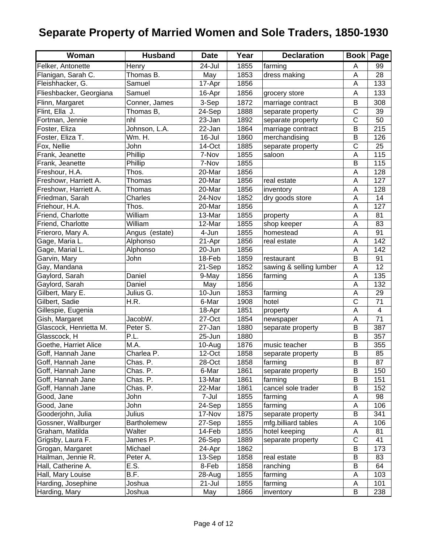| Woman                   | <b>Husband</b>     | <b>Date</b>          | Year | <b>Declaration</b>      |                       | <b>Book   Page</b> |
|-------------------------|--------------------|----------------------|------|-------------------------|-----------------------|--------------------|
| Felker, Antonette       | Henry              | 24-Jul               | 1855 | farming                 | A                     | 99                 |
| Flanigan, Sarah C.      | Thomas B.          | May                  | 1853 | dress making            | A                     | 28                 |
| Fleishhacker, G.        | Samuel             | 17-Apr               | 1856 |                         | A                     | 133                |
| Flieshbacker, Georgiana | Samuel             | 16-Apr               | 1856 | grocery store           | Α                     | 133                |
| Flinn, Margaret         | Conner, James      | 3-Sep                | 1872 | marriage contract       | B                     | 308                |
| Flint, Ella J.          | Thomas B,          | 24-Sep               | 1888 | separate property       | $\overline{\text{c}}$ | 39                 |
| Fortman, Jennie         | nhl                | $23$ -Jan            | 1892 | separate property       | $\overline{\text{c}}$ | 50                 |
| Foster, Eliza           | Johnson, L.A.      | 22-Jan               | 1864 | marriage contract       | B                     | 215                |
| Foster, Eliza T.        | Wm. H.             | 16-Jul               | 1860 | merchandising           | B                     | 126                |
| Fox, Nellie             | John               | 14-Oct               | 1885 | separate property       | $\mathsf{C}$          | 25                 |
| Frank, Jeanette         | Phillip            | 7-Nov                | 1855 | saloon                  | A                     | 115                |
| Frank, Jeanette         | Phillip            | 7-Nov                | 1855 |                         | B                     | 115                |
| Freshour, H.A.          | Thos.              | 20-Mar               | 1856 |                         | A                     | 128                |
| Freshowr, Harriett A.   | Thomas             | 20-Mar               | 1856 | real estate             | A                     | 127                |
| Freshowr, Harriett A.   | Thomas             | 20-Mar               | 1856 | inventory               | A                     | 128                |
| Friedman, Sarah         | Charles            | 24-Nov               | 1852 | dry goods store         | A                     | 14                 |
| Friehour, H.A.          | Thos.              | 20-Mar               | 1856 |                         | Α                     | 127                |
| Friend, Charlotte       | William            | 13-Mar               | 1855 | property                | A                     | 81                 |
| Friend, Charlotte       | William            | 12-Mar               | 1855 | shop keeper             | Α                     | 83                 |
| Frieroro, Mary A.       | Angus (estate)     | 4-Jun                | 1855 | homestead               | A                     | 91                 |
| Gage, Maria L.          | Alphonso           | 21-Apr               | 1856 | real estate             | A                     | 142                |
| Gage, Marial L.         | Alphonso           | 20-Jun               | 1856 |                         | A                     | 142                |
| Garvin, Mary            | John               | 18-Feb               | 1859 | restaurant              | B                     | 91                 |
| Gay, Mandana            |                    | 21-Sep               | 1852 | sawing & selling lumber | Α                     | 12                 |
| Gaylord, Sarah          | Daniel             | $9-May$              | 1856 | farming                 | A                     | 135                |
| Gaylord, Sarah          | Daniel             | May                  | 1856 |                         | A                     | 132                |
| Gilbert, Mary E.        | Julius G.          | 10-Jun               | 1853 | farming                 | A                     | 29                 |
| Gilbert, Sadie          | H.R.               | 6-Mar                | 1908 | hotel                   | $\overline{\text{c}}$ | 71                 |
| Gillespie, Eugenia      |                    | 18-Apr               | 1851 | property                | A                     | 4                  |
| Gish, Margaret          | JacobW.            | 27-Oct               | 1854 | newspaper               | A                     | 71                 |
| Glascock, Henrietta M.  | Peter S.           | $\overline{27}$ -Jan | 1880 | separate property       | B                     | 387                |
| Glasscock, H            | P.L.               | 25-Jun               | 1880 |                         | B                     | 357                |
| Goethe, Harriet Alice   | M.A.               | $\overline{10}$ -Aug | 1876 | music teacher           | B                     | 355                |
| Goff, Hannah Jane       | Charlea P.         | 12-Oct               | 1858 | separate property       | B                     | 85                 |
| Goff, Hannah Jane       | Chas. P            | 28-Oct               | 1858 | farming                 | B                     | 87                 |
| Goff, Hannah Jane       | Chas. P.           | 6-Mar                | 1861 | separate property       | B                     | 150                |
| Goff, Hannah Jane       | Chas. P.           | 13-Mar               | 1861 | farming                 | B                     | 151                |
| Goff, Hannah Jane       | Chas. P.           | 22-Mar               | 1861 | cancel sole trader      | B                     | 152                |
| Good, Jane              | John               | 7-Jul                | 1855 | farming                 | Α                     | 98                 |
| Good, Jane              | John               | 24-Sep               | 1855 | farming                 | A                     | 106                |
| Gooderjohn, Julia       | Julius             | 17-Nov               | 1875 | separate property       | B                     | 341                |
| Gossner, Wallburger     | <b>Bartholemew</b> | 27-Sep               | 1855 | mfg.billiard tables     | A                     | 106                |
| Graham, Matilda         | Walter             | 14-Feb               | 1855 | hotel keeping           | A                     | 81                 |
| Grigsby, Laura F.       | James P.           | 26-Sep               | 1889 | separate property       | C                     | 41                 |
| Grogan, Margaret        | Michael            | 24-Apr               | 1862 |                         | B                     | 173                |
| Hailman, Jennie R.      | Peter A.           | 13-Sep               | 1858 | real estate             | B                     | 83                 |
| Hall, Catherine A.      | E.S.               | 8-Feb                | 1858 | ranching                | B                     | 64                 |
| Hall, Mary Louise       | B.F.               | 28-Aug               | 1855 | farming                 | Α                     | 103                |
| Harding, Josephine      | Joshua             | 21-Jul               | 1855 | farming                 | Α                     | 101                |
| Harding, Mary           | Joshua             | May                  | 1866 | inventory               | В                     | 238                |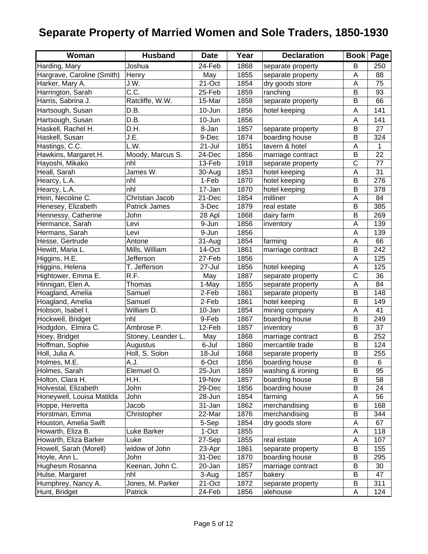| Woman                      | <b>Husband</b>       | <b>Date</b> | Year | <b>Declaration</b> | <b>Book</b>           | Pagel |
|----------------------------|----------------------|-------------|------|--------------------|-----------------------|-------|
| Harding, Mary              | Joshua               | 24-Feb      | 1868 | separate property  | В                     | 250   |
| Hargrave, Caroline (Smith) | Henry                | May         | 1855 | separate property  | A                     | 88    |
| Harker, Mary A.            | J.W.                 | 21-Oct      | 1854 | dry goods store    | A                     | 75    |
| Harrington, Sarah          | C.C.                 | 25-Feb      | 1859 | ranching           | B                     | 93    |
| Harris, Sabrina J.         | Ratcliffe, W.W.      | 15-Mar      | 1858 | separate property  | B                     | 66    |
| Hartsough, Susan           | D.B.                 | 10-Jun      | 1856 | hotel keeping      | A                     | 141   |
| Hartsough, Susan           | D.B.                 | 10-Jun      | 1856 |                    | A                     | 141   |
| Haskell, Rachel H.         | D.H.                 | 8-Jan       | 1857 | separate property  | B                     | 27    |
| Haskell, Susan             | J.E.                 | 9-Dec       | 1874 | boarding house     | B                     | 324   |
| Hastings, C.C.             | L.W.                 | 21-Jul      | 1851 | tavern & hotel     | A                     | 1     |
| Hawkins, Margaret.H.       | Moody, Marcus S.     | 24-Dec      | 1856 | marriage contract  | B                     | 22    |
| Hayoshi, Mikako            | nhl                  | 13-Feb      | 1918 | separate property  | $\mathsf{C}$          | 77    |
| Heall, Sarah               | James W.             | 30-Aug      | 1853 | hotel keeping      | A                     | 31    |
| Hearcy, L.A.               | nhl                  | 1-Feb       | 1870 | hotel keeping      | B                     | 276   |
| Hearcy, L.A.               | nhl                  | 17-Jan      | 1870 | hotel keeping      | В                     | 378   |
| Hein, Necoline C.          | Christian Jacob      | 21-Dec      | 1854 | milliner           | A                     | 84    |
| Henesey, Elizabeth         | <b>Patrick James</b> | 3-Dec       | 1879 | real estate        | В                     | 385   |
| Hennessy, Catherine        | John                 | 28 Apl      | 1868 | dairy farm         | B                     | 269   |
| Hermance, Sarah            | Levi                 | 9-Jun       | 1856 | inventory          | A                     | 139   |
| Hermans, Sarah             | Levi                 | 9-Jun       | 1856 |                    | A                     | 139   |
| Hesse, Gertrude            | Antone               | 31-Aug      | 1854 | farming            | A                     | 66    |
| Hewitt, Maria L.           | Mills, William       | 14-Oct      | 1861 | marriage contract  | B                     | 242   |
| Higgins, H.E.              | Jefferson            | 27-Feb      | 1856 |                    | Α                     | 125   |
| Higgins, Helena            | T. Jefferson         | 27-Jul      | 1856 | hotel keeping      | Α                     | 125   |
| Hightower, Emma E.         | R.F.                 | May         | 1887 | separate property  | $\overline{\text{c}}$ | 36    |
| Hinnigan, Elen A.          | Thomas               | 1-May       | 1855 | separate property  | A                     | 84    |
| Hoagland, Amelia           | Samuel               | 2-Feb       | 1861 | separate property  | B                     | 148   |
| Hoagland, Amelia           | Samuel               | $2-Feb$     | 1861 | hotel keeping      | B                     | 149   |
| Hobson, Isabel I.          | William D.           | 10-Jan      | 1854 | mining company     | A                     | 41    |
| Hockwell, Bridget          | nhl                  | 9-Feb       | 1867 | boarding house     | B                     | 249   |
| Hodgdon, Elmira C.         | Ambrose P.           | 12-Feb      | 1857 | inventory          | B                     | 37    |
| Hoey, Bridget              | Stoney, Leander L.   | May         | 1868 | marriage contract  | B                     | 252   |
| Hoffman, Sophie            | Augustus             | 6-Jul       | 1860 | mercantile trade   | В                     | 124   |
| Holl, Julia A.             | Holl, S. Solon       | $18 -$ Jul  | 1868 | separate property  | В                     | 255   |
| Holmes, M.E.               | A.J.                 | 6-Oct       | 1856 | boarding house     | B                     | 6     |
| Holmes, Sarah              | Elemuel O.           | 25-Jun      | 1859 | washing & ironing  | B                     | 95    |
| Holton, Clara H.           | H.H.                 | 19-Nov      | 1857 | boarding house     | В                     | 58    |
| Holvestal, Elizabeth       | John                 | 29-Dec      | 1856 | boarding house     | B                     | 24    |
| Honeywell, Louisa Matilda  | John                 | 28-Jun      | 1854 | farming            | A                     | 56    |
| Hoppe, Henretta            | Jacob                | 31-Jan      | 1862 | merchandising      | В                     | 168   |
| Horstman, Emma             | Christopher          | 22-Mar      | 1876 | merchandising      | В                     | 344   |
| Houston, Amelia Swift      |                      | 5-Sep       | 1854 | dry goods store    | Α                     | 67    |
| Howarth, Eliza B.          | Luke Barker          | 1-Oct       | 1855 |                    | A                     | 118   |
| Howarth, Eliza Barker      | Luke                 | 27-Sep      | 1855 | real estate        | A                     | 107   |
| Howell, Sarah (Morell)     | widow of John        | 23-Apr      | 1861 | separate property  | В                     | 155   |
| Hoyle, Ann L.              | John                 | 31-Dec      | 1870 | boarding house     | В                     | 295   |
| Hughesm Rosanna            | Keenan, John C.      | 20-Jan      | 1857 | marriage contract  | B                     | 30    |
| Hulse, Margaret            | nhl                  | 3-Aug       | 1857 | bakery             | B                     | 47    |
| Humphrey, Nancy A.         | Jones, M. Parker     | 21-Oct      | 1872 | separate property  | B                     | 311   |
| Hunt, Bridget              | Patrick              | 24-Feb      | 1856 | alehouse           | A                     | 124   |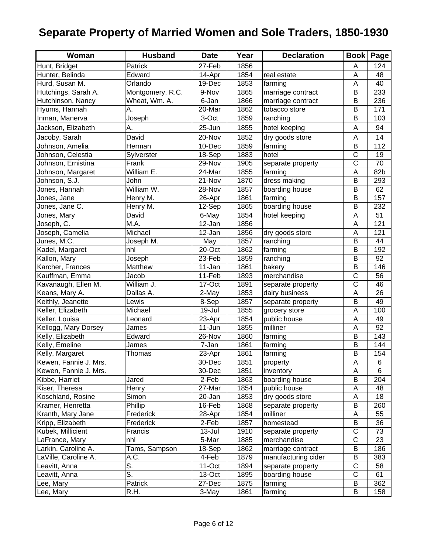| Woman                 | <b>Husband</b>            | <b>Date</b> | Year | <b>Declaration</b>  |                       | <b>Book Page</b> |
|-----------------------|---------------------------|-------------|------|---------------------|-----------------------|------------------|
| Hunt, Bridget         | Patrick                   | 27-Feb      | 1856 |                     | A                     | 124              |
| Hunter, Belinda       | Edward                    | 14-Apr      | 1854 | real estate         | A                     | 48               |
| Hurd, Susan M.        | Orlando                   | 19-Dec      | 1853 | farming             | A                     | 40               |
| Hutchings, Sarah A.   | Montgomery, R.C.          | 9-Nov       | 1865 | marriage contract   | B                     | 233              |
| Hutchinson, Nancy     | Wheat, Wm. A.             | 6-Jan       | 1866 | marriage contract   | B                     | 236              |
| Hyums, Hannah         | А.                        | 20-Mar      | 1862 | tobacco store       | B                     | 171              |
| Inman, Manerva        | Joseph                    | 3-Oct       | 1859 | ranching            | B                     | 103              |
| Jackson, Elizabeth    | Α.                        | 25-Jun      | 1855 | hotel keeping       | A                     | 94               |
| Jacoby, Sarah         | David                     | 20-Nov      | 1852 | dry goods store     | A                     | 14               |
| Johnson, Amelia       | Herman                    | 10-Dec      | 1859 | farming             | B                     | 112              |
| Johnson, Celestia     | Sylverster                | $18-Sep$    | 1883 | hotel               | $\mathsf{C}$          | 19               |
| Johnson, Ernistina    | Frank                     | 29-Nov      | 1905 | separate property   | C                     | 70               |
| Johnson, Margaret     | William E.                | 24-Mar      | 1855 | farming             | Α                     | 82b              |
| Johnson, S.J.         | John                      | 21-Nov      | 1870 | dress making        | B                     | 293              |
| Jones, Hannah         | William W.                | 28-Nov      | 1857 | boarding house      | В                     | 62               |
| Jones, Jane           | Henry M.                  | 26-Apr      | 1861 | farming             | B                     | 157              |
| Jones, Jane C.        | Henry M.                  | $12-Sep$    | 1865 | boarding house      | B                     | 232              |
| Jones, Mary           | David                     | 6-May       | 1854 | hotel keeping       | A                     | 51               |
| Joseph, C.            | M.A.                      | 12-Jan      | 1856 |                     | Α                     | 121              |
| Joseph, Camelia       | Michael                   | 12-Jan      | 1856 | dry goods store     | A                     | 121              |
| Junes, M.C.           | Joseph M.                 | May         | 1857 | ranching            | B                     | 44               |
| Kadel, Margaret       | nhl                       | 20-Oct      | 1862 | farming             | B                     | 192              |
| Kallon, Mary          | Joseph                    | 23-Feb      | 1859 | ranching            | B                     | 92               |
| Karcher, Frances      | Matthew                   | 11-Jan      | 1861 | bakery              | B                     | 146              |
| Kauffman, Emma        | Jacob                     | 11-Feb      | 1893 | merchandise         | $\overline{\text{c}}$ | 56               |
| Kavanaugh, Ellen M.   | William J.                | 17-Oct      | 1891 | separate property   | $\overline{\text{c}}$ | 46               |
| Keans, Mary A.        | Dallas A.                 | $2$ -May    | 1853 | dairy business      | A                     | 26               |
| Keithly, Jeanette     | Lewis                     | $8-$ Sep    | 1857 | separate property   | B                     | 49               |
| Keller, Elizabeth     | Michael                   | 19-Jul      | 1855 | grocery store       | A                     | 100              |
| Keller, Louisa        | Leonard                   | 23-Apr      | 1854 | public house        | A                     | 49               |
| Kellogg, Mary Dorsey  | James                     | 11-Jun      | 1855 | milliner            | A                     | 92               |
| Kelly, Elizabeth      | Edward                    | 26-Nov      | 1860 | farming             | B                     | 143              |
| Kelly, Emeline        | James                     | 7-Jan       | 1861 | farming             | B                     | 144              |
| Kelly, Margaret       | Thomas                    | 23-Apr      | 1861 | farming             | B                     | 154              |
| Kewen, Fannie J. Mrs. |                           | 30-Dec      | 1851 | property            | A                     | 6                |
| Kewen, Fannie J. Mrs. |                           | 30-Dec      | 1851 | inventory           | A                     | 6                |
| Kibbe, Harriet        | Jared                     | 2-Feb       | 1863 | boarding house      | B                     | 204              |
| Kiser, Theresa        | Henry                     | 27-Mar      | 1854 | public house        | A                     | 48               |
| Koschland, Rosine     | Simon                     | 20-Jan      | 1853 | dry goods store     | A                     | 18               |
| Kramer, Henretta      | Phillip                   | 16-Feb      | 1868 | separate property   | B                     | 260              |
| Kranth, Mary Jane     | Frederick                 | 28-Apr      | 1854 | milliner            | Α                     | 55               |
| Kripp, Elizabeth      | Frederick                 | 2-Feb       | 1857 | homestead           | B                     | 36               |
| Kubek, Millicient     | Francis                   | $13 -$ Jul  | 1910 | separate property   | C                     | 73               |
| LaFrance, Mary        | nhl                       | 5-Mar       | 1885 | merchandise         | C                     | 23               |
| Larkin, Caroline A.   | Tams, Sampson             | 18-Sep      | 1862 | marriage contract   | B                     | 186              |
| LaVille, Caroline A.  | A.C.                      | 4-Feb       | 1879 | manufacturing cider | B                     | 383              |
| Leavitt, Anna         | S.                        | 11-Oct      | 1894 | separate property   | С                     | 58               |
| Leavitt, Anna         | $\overline{\mathsf{S}}$ . | 13-Oct      | 1895 | boarding house      | $\mathsf{C}$          | 61               |
| Lee, Mary             | Patrick                   | 27-Dec      | 1875 | farming             | B                     | 362              |
| Lee, Mary             | R.H.                      | 3-May       | 1861 | farming             | B                     | 158              |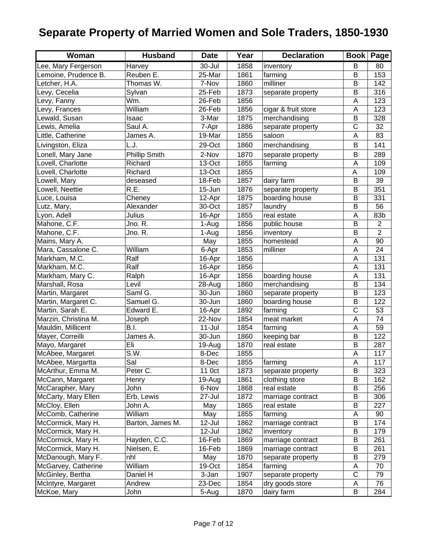| Woman                | <b>Husband</b>       | <b>Date</b>         | Year | <b>Declaration</b>  |                       | <b>Book Page</b> |
|----------------------|----------------------|---------------------|------|---------------------|-----------------------|------------------|
| Lee, Mary Fergerson  | Harvey               | 30-Jul              | 1858 | inventory           | В                     | 80               |
| Lemoine, Prudence B. | Reuben E.            | 25-Mar              | 1861 | farming             | B                     | 153              |
| Letcher, H.A.        | Thomas W.            | 7-Nov               | 1860 | milliner            | B                     | 142              |
| Levy, Cecelia        | Sylvan               | 25-Feb              | 1873 | separate property   | B                     | 316              |
| Levy, Fanny          | Wm.                  | 26-Feb              | 1856 |                     | A                     | 123              |
| Levy, Frances        | William              | 26-Feb              | 1856 | cigar & fruit store | A                     | 123              |
| Lewald, Susan        | Isaac                | 3-Mar               | 1875 | merchandising       | B                     | 328              |
| Lewis, Amelia        | Saul A.              | 7-Apr               | 1886 | separate property   | $\overline{\text{c}}$ | 32               |
| Little, Catherine    | James A.             | 19-Mar              | 1855 | saloon              | A                     | 83               |
| Livingston, Eliza    | L.J.                 | 29-Oct              | 1860 | merchandising       | B                     | 141              |
| Lonell, Mary Jane    | <b>Phillip Smith</b> | 2-Nov               | 1870 | separate property   | B                     | 289              |
| Lovell, Charlotte    | Richard              | 13-Oct              | 1855 | farming             | A                     | 109              |
| Lovell, Charlotte    | Richard              | 13-Oct              | 1855 |                     | Α                     | 109              |
| Lowell, Mary         | deseased             | 18-Feb              | 1857 | dairy farm          | B                     | 39               |
| Lowell, Neettie      | R.E.                 | 15-Jun              | 1876 | separate property   | B                     | 351              |
| Luce, Louisa         | Cheney               | 12-Apr              | 1875 | boarding house      | В                     | 331              |
| Lutz, Mary,          | Alexander            | 30-Oct              | 1857 | laundry             | B                     | 56               |
| Lyon, Adell          | Julius               | 16-Apr              | 1855 | real estate         | A                     | 83b              |
| Mahone, C.F.         | Jno. R.              | 1-Aug               | 1856 | public house        | B                     | $\overline{2}$   |
| Mahone, C.F.         | Jno. R.              | $\overline{1}$ -Aug | 1856 | inventory           | B                     | $\overline{2}$   |
| Mains, Mary A.       |                      | May                 | 1855 | homestead           | A                     | 90               |
| Mara, Cassalone C.   | William              | 6-Apr               | 1853 | milliner            | A                     | 24               |
| Markham, M.C.        | Ralf                 | 16-Apr              | 1856 |                     | A                     | 131              |
| Markham, M.C.        | Ralf                 | 16-Apr              | 1856 |                     | A                     | 131              |
| Markham, Mary C.     | Ralph                | 16-Apr              | 1856 | boarding house      | A                     | 131              |
| Marshall, Rosa       | Levil                | 28-Aug              | 1860 | merchandising       | B                     | 134              |
| Martin, Margaret     | Saml G.              | 30-Jun              | 1860 | separate property   | B                     | 123              |
| Martin, Margaret C.  | Samuel G.            | 30-Jun              | 1860 | boarding house      | B                     | 122              |
| Martin, Sarah E.     | Edward E.            | 16-Apr              | 1892 | farming             | C                     | 53               |
| Marzin, Christina M. | Joseph               | 22-Nov              | 1854 | meat market         | A                     | 74               |
| Mauldin, Millicent   | B.I.                 | $11 -$ Jul          | 1854 | farming             | A                     | 59               |
| Mayer, Correilli     | James A.             | 30-Jun              | 1860 | keeping bar         | B                     | 122              |
| Mayo, Margaret       | Eli                  | 19-Aug              | 1870 | real estate         | B                     | 287              |
| McAbee, Margaret     | S.W.                 | 8-Dec               | 1855 |                     | A                     | 117              |
| McAbee, Margartta    | Sal                  | 8-Dec               | 1855 | farming             | Α                     | 117              |
| McArthur, Emma M.    | Peter C.             | 11 0ct              | 1873 | separate property   | В                     | 323              |
| McCann, Margaret     | Henry                | 19-Aug              | 1861 | clothing store      | В                     | 162              |
| McCarapher, Mary     | John                 | 6-Nov               | 1868 | real estate         | В                     | 256              |
| McCarty, Mary Ellen  | Erb, Lewis           | 27-Jul              | 1872 | marriage contract   | В                     | 306              |
| McCloy, Ellen        | John A.              | May                 | 1865 | real estate         | B                     | 227              |
| McComb, Catherine    | William              | May                 | 1855 | farming             | Α                     | 90               |
| McCormick, Mary H.   | Barton, James M.     | 12-Jul              | 1862 | marriage contract   | B                     | 174              |
| McCormick, Mary H.   |                      | 12-Jul              | 1862 | inventory           | B                     | 179              |
| McCormick, Mary H.   | Hayden, C.C.         | 16-Feb              | 1869 | marriage contract   | B                     | 261              |
| McCormick, Mary H.   | Nielsen, E.          | 16-Feb              | 1869 | marriage contract   | В                     | 261              |
| McDanough, Mary F.   | nhl                  | May                 | 1870 | separate property   | B                     | 279              |
| McGarvey, Catherine  | William              | 19-Oct              | 1854 | farming             | A                     | 70               |
| McGinley, Bertha     | Daniel H             | 3-Jan               | 1907 | separate property   | C                     | 79               |
| McIntyre, Margaret   | Andrew               | 23-Dec              | 1854 | dry goods store     | A                     | 76               |
| McKoe, Mary          | John                 | 5-Aug               | 1870 | dairy farm          | В                     | 284              |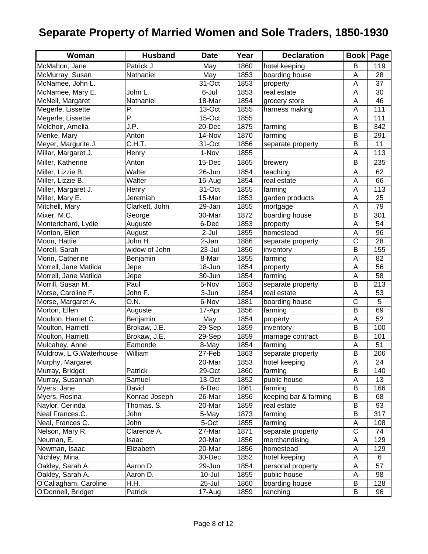| Woman                   | <b>Husband</b> | <b>Date</b> | Year | <b>Declaration</b>    |                       | <b>Book Page</b> |
|-------------------------|----------------|-------------|------|-----------------------|-----------------------|------------------|
| McMahon, Jane           | Patrick J.     | May         | 1860 | hotel keeping         | B                     | 119              |
| McMurray, Susan         | Nathaniel      | May         | 1853 | boarding house        | Α                     | 28               |
| McNamee, John L.        |                | 31-Oct      | 1853 | property              | A                     | 37               |
| McNamee, Mary E.        | John L.        | 6-Jul       | 1853 | real estate           | A                     | 30               |
| McNeil, Margaret        | Nathaniel      | 18-Mar      | 1854 | grocery store         | A                     | 46               |
| Megerle, Lissette       | P.             | 13-Oct      | 1855 | harness making        | A                     | 111              |
| Megerle, Lissette       | P.             | 15-Oct      | 1855 |                       | A                     | 111              |
| Melchoir, Amelia        | J.P.           | 20-Dec      | 1875 | farming               | B                     | 342              |
| Menke, Mary             | Anton          | 14-Nov      | 1870 | farming               | B                     | 291              |
| Meyer, Margurite.J.     | C.H.T.         | 31-Oct      | 1856 | separate property     | В                     | 11               |
| Millar, Margaret J.     | Henry          | 1-Nov       | 1855 |                       | A                     | 113              |
| Miller, Katherine       | Anton          | 15-Dec      | 1865 | brewery               | B                     | 235              |
| Miller, Lizzie B.       | Walter         | 26-Jun      | 1854 | teaching              | A                     | 62               |
| Miller, Lizzie B.       | Walter         | $15-Au$ g   | 1854 | real estate           | A                     | 66               |
| Miller, Margaret J.     | Henry          | 31-Oct      | 1855 | farming               | A                     | 113              |
| Miller, Mary E.         | Jeremiah       | 15-Mar      | 1853 | garden products       | A                     | 25               |
| Mitchell, Mary          | Clarkett, John | 29-Jan      | 1855 | mortgage              | A                     | 79               |
| Mixer, M.C.             | George         | 30-Mar      | 1872 | boarding house        | В                     | 301              |
| Monterichard, Lydie     | Auguste        | 6-Dec       | 1853 | property              | A                     | 54               |
| Monton, Ellen           | August         | 2-Jul       | 1855 | homestead             | A                     | 96               |
| Moon, Hattie            | John H.        | 2-Jan       | 1886 | separate property     | C                     | 28               |
| Morell, Sarah           | widow of John  | 23-Jul      | 1856 | inventory             | B                     | 155              |
| Morin, Catherine        | Benjamin       | 8-Mar       | 1855 | farming               | A                     | 82               |
| Morrell, Jane Matilda   | Jepe           | 18-Jun      | 1854 | property              | A                     | 56               |
| Morrell, Jane Matilda   | Jepe           | 30-Jun      | 1854 | farming               | A                     | 58               |
| Morrill, Susan M.       | Paul           | 5-Nov       | 1863 | separate property     | B                     | 213              |
| Morse, Caroline F.      | John F.        | 3-Jun       | 1854 | real estate           | A                     | 53               |
| Morse, Margaret A.      | O.N.           | 6-Nov       | 1881 | boarding house        | $\overline{\text{c}}$ | 5                |
| Morton, Ellen           | Auguste        | 17-Apr      | 1856 | farming               | B                     | 69               |
| Moulton, Harriet C.     | Benjamin       | May         | 1854 | property              | A                     | 52               |
| Moulton, Harriett       | Brokaw, J.E.   | $29-Sep$    | 1859 | inventory             | В                     | 100              |
| Moulton, Harriett       | Brokaw, J.E.   | 29-Sep      | 1859 | marriage contract     | B                     | 101              |
| Mulcahey, Anne          | Eamonde        | 8-May       | 1854 | farming               | A                     | 51               |
| Muldrow, L.G.Waterhouse | William        | 27-Feb      | 1863 | separate property     | В                     | 206              |
| Murphy, Margaret        |                | 20-Mar      | 1853 | hotel keeping         | Α                     | 24               |
| Murray, Bridget         | Patrick        | 29-Oct      | 1860 | farming               | В                     | 140              |
| Murray, Susannah        | Samuel         | 13-Oct      | 1852 | public house          | A                     | 13               |
| Myers, Jane             | David          | 6-Dec       | 1861 | farming               | B                     | 166              |
| Myers, Rosina           | Konrad Joseph  | 26-Mar      | 1856 | keeping bar & farming | B                     | 68               |
| Naylor, Cerinda         | Thomas. S.     | 20-Mar      | 1859 | real estate           | B                     | 93               |
| Neal Frances.C.         | John           | 5-May       | 1873 | farming               | B                     | 317              |
| Neal, Frances C.        | John           | 5-Oct       | 1855 | farming               | A                     | 108              |
| Nelson, Mary R.         | Clarence A.    | 27-Mar      | 1871 | separate property     | $\mathsf C$           | 74               |
| Neuman, E.              | Isaac          | 20-Mar      | 1856 | merchandising         | A                     | 129              |
| Newman, Isaac           | Elizabeth      | 20-Mar      | 1856 | homestead             | Α                     | 129              |
| Nichley, Mina           |                | 30-Dec      | 1852 | hotel keeping         | A                     | 6                |
| Oakley, Sarah A.        | Aaron D.       | 29-Jun      | 1854 | personal property     | A                     | 57               |
| Oakley, Sarah A.        | Aaron D.       | $10 -$ Jul  | 1855 | public house          | Α                     | 98               |
| O'Callagham, Caroline   | H.H.           | $25 -$ Jul  | 1860 | boarding house        | B                     | 128              |
| O'Donnell, Bridget      | Patrick        | 17-Aug      | 1859 | ranching              | B                     | 96               |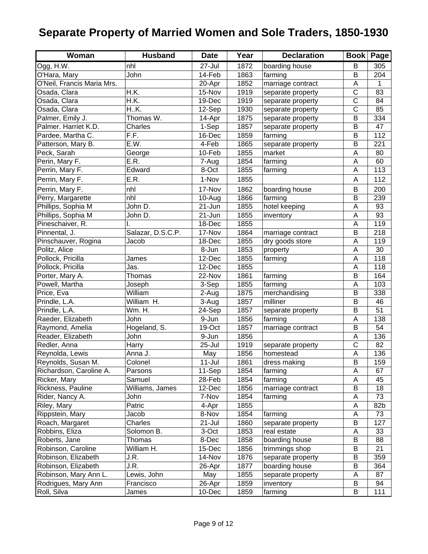| Woman                      | <b>Husband</b>    | <b>Date</b>         | Year | <b>Declaration</b> |              | <b>Book Page</b> |
|----------------------------|-------------------|---------------------|------|--------------------|--------------|------------------|
| Ogg, H.W.                  | nhl               | 27-Jul              | 1872 | boarding house     | B            | 305              |
| O'Hara, Mary               | John              | 14-Feb              | 1863 | farming            | B            | 204              |
| O'Neil, Francis Maria Mrs. |                   | 20-Apr              | 1852 | marriage contract  | A            | 1                |
| Osada, Clara               | H.K.              | 15-Nov              | 1919 | separate property  | C            | 83               |
| Osada, Clara               | H.K.              | 19-Dec              | 1919 | separate property  | $\mathsf{C}$ | 84               |
| Osada, Clara               | H.K.              | $12-Sep$            | 1930 | separate property  | $\mathsf C$  | 85               |
| Palmer, Emily J.           | Thomas W.         | 14-Apr              | 1875 | separate property  | B            | 334              |
| Palmer. Harriet K.D.       | Charles           | $\overline{1}$ -Sep | 1857 | separate property  | B            | 47               |
| Pardee, Martha C.          | F.F.              | 16-Dec              | 1859 | farming            | B            | 112              |
| Patterson, Mary B.         | E.W.              | $4-Feb$             | 1865 | separate property  | B            | 221              |
| Peck, Sarah                | George            | 10-Feb              | 1855 | market             | A            | 80               |
| Perin, Mary F.             | E.R.              | $7 - Aug$           | 1854 | farming            | A            | 60               |
| Perrin, Mary F.            | Edward            | 8-Oct               | 1855 | farming            | A            | 113              |
| Perrin, Mary F.            | E.R.              | 1-Nov               | 1855 |                    | A            | 112              |
| Perrin, Mary F.            | nhl               | 17-Nov              | 1862 | boarding house     | В            | 200              |
| Perry, Margarette          | nhl               | 10-Aug              | 1866 | farming            | B            | 239              |
| Phillips, Sophia M         | John D.           | 21-Jun              | 1855 | hotel keeping      | A            | 93               |
| Phillips, Sophia M         | John D.           | 21-Jun              | 1855 | inventory          | A            | 93               |
| Pineschaiver, R.           |                   | 18-Dec              | 1855 |                    | A            | 119              |
| Pinnental, J.              | Salazar, D.S.C.P. | 17-Nov              | 1864 | marriage contract  | B            | 218              |
| Pinschauver, Rogina        | Jacob             | 18-Dec              | 1855 | dry goods store    | A            | 119              |
| Politz, Alice              |                   | 8-Jun               | 1853 | property           | A            | 30               |
| Pollock, Pricilla          | James             | 12-Dec              | 1855 | farming            | A            | 118              |
| Pollock, Pricilla          | Jas.              | 12-Dec              | 1855 |                    | A            | 118              |
| Porter, Mary A.            | Thomas            | 22-Nov              | 1861 | farming            | B            | 164              |
| Powell, Martha             | Joseph            | $3-$ Sep            | 1855 | farming            | A            | 103              |
| Price, Eva                 | William           | $2-Aug$             | 1875 | merchandising      | B            | 338              |
| Prindle, L.A.              | William H.        | $3-Aug$             | 1857 | milliner           | B            | 46               |
| Prindle, L.A.              | Wm. H.            | 24-Sep              | 1857 | separate property  | B            | 51               |
| Raeder, Elizabeth          | John              | 9-Jun               | 1856 | farming            | Α            | 138              |
| Raymond, Amelia            | Hogeland, S.      | 19-Oct              | 1857 | marriage contract  | В            | 54               |
| Reader, Elizabeth          | John              | 9-Jun               | 1856 |                    | A            | 136              |
| Redler, Anna               | Harry             | $25 -$ Jul          | 1919 | separate property  | C            | 82               |
| Reynolda, Lewis            | Anna J.           | May                 | 1856 | homestead          | A            | 136              |
| Reynolds, Susan M.         | Colonel           | $11 -$ Jul          | 1861 | dress making       | B            | 159              |
| Richardson, Caroline A.    | Parsons           | 11-Sep              | 1854 | farming            | A            | 67               |
| Ricker, Mary               | Samuel            | 28-Feb              | 1854 | farming            | A            | 45               |
| Rickness, Pauline          | Williams, James   | 12-Dec              | 1856 | marriage contract  | B            | 18               |
| Rider, Nancy A.            | John              | 7-Nov               | 1854 | farming            | Α            | 73               |
| Riley, Mary                | Patric            | 4-Apr               | 1855 |                    | Α            | 82b              |
| Rippstein, Mary            | Jacob             | 8-Nov               | 1854 | farming            | A            | 73               |
| Roach, Margaret            | Charles           | $21 -$ Jul          | 1860 | separate property  | B            | 127              |
| Robbins, Eliza             | Solomon B.        | 3-Oct               | 1853 | real estate        | Α            | 33               |
| Roberts, Jane              | Thomas            | 8-Dec               | 1858 | boarding house     | B            | 88               |
| Robinson, Caroline         | William H.        | 15-Dec              | 1856 | trimmings shop     | B            | 21               |
| Robinson, Elizabeth        | J.R.              | 14-Nov              | 1876 | separate property  | B            | 359              |
| Robinson, Elizabeth        | J.R.              | 26-Apr              | 1877 | boarding house     | B            | 364              |
| Robinson, Mary Ann L.      | Lewis, John       | May                 | 1855 | separate property  | A            | 87               |
| Rodrigues, Mary Ann        | Francisco         | 26-Apr              | 1859 | inventory          | B            | 94               |
| Roll, Silva                | James             | 10-Dec              | 1859 | farming            | B            | 111              |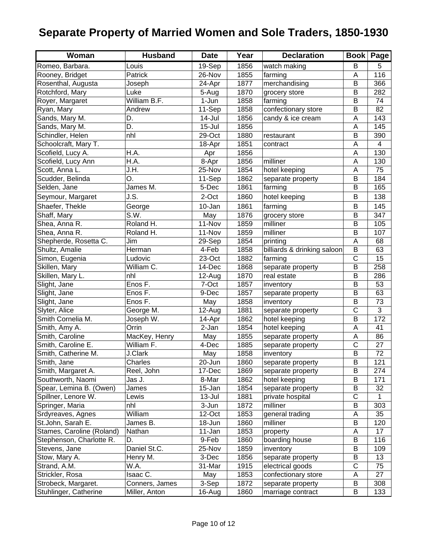| Woman                     | <b>Husband</b> | <b>Date</b>          | Year | <b>Declaration</b>          |              | <b>Book Page</b>        |
|---------------------------|----------------|----------------------|------|-----------------------------|--------------|-------------------------|
| Romeo, Barbara.           | Louis          | 19-Sep               | 1856 | watch making                | B            | 5                       |
| Rooney, Bridget           | Patrick        | 26-Nov               | 1855 | farming                     | A            | 116                     |
| Rosenthal, Augusta        | Joseph         | 24-Apr               | 1877 | merchandising               | B            | 366                     |
| Rotchford, Mary           | Luke           | 5-Aug                | 1870 | grocery store               | B            | 282                     |
| Royer, Margaret           | William B.F.   | 1-Jun                | 1858 | farming                     | B            | 74                      |
| Ryan, Mary                | Andrew         | $11-Sep$             | 1858 | confectionary store         | B            | 82                      |
| Sands, Mary M.            | D.             | 14-Jul               | 1856 | candy & ice cream           | A            | 143                     |
| Sands, Mary M.            | D.             | $15 -$ Jul           | 1856 |                             | Α            | 145                     |
| Schindler, Helen          | nhl            | 29-Oct               | 1880 | restaurant                  | В            | 390                     |
| Schoolcraft, Mary T.      |                | 18-Apr               | 1851 | contract                    | A            | $\overline{\mathbf{4}}$ |
| Scofield, Lucy A.         | H.A.           | Apr                  | 1856 |                             | A            | 130                     |
| Scofield, Lucy Ann        | H.A.           | 8-Apr                | 1856 | milliner                    | A            | 130                     |
| Scott, Anna L.            | J.H.           | 25-Nov               | 1854 | hotel keeping               | A            | 75                      |
| Scudder, Belinda          | O.             | $11-Sep$             | 1862 | separate property           | B            | 184                     |
| Selden, Jane              | James M.       | 5-Dec                | 1861 | farming                     | B            | 165                     |
| Seymour, Margaret         | J.S.           | 2-Oct                | 1860 | hotel keeping               | B            | 138                     |
| Shaefer, Thekle           | George         | 10-Jan               | 1861 | farming                     | В            | 145                     |
| Shaff, Mary               | S.W.           | May                  | 1876 | grocery store               | В            | 347                     |
| Shea, Anna R.             | Roland H.      | 11-Nov               | 1859 | milliner                    | B            | 105                     |
| Shea, Anna R.             | Roland H.      | 11-Nov               | 1859 | milliner                    | B            | 107                     |
| Shepherde, Rosetta C.     | Jim            | $29-Sep$             | 1854 | printing                    | A            | 68                      |
| Shultz, Amalie            | Herman         | 4-Feb                | 1858 | billiards & drinking saloon | B            | 63                      |
| Simon, Eugenia            | Ludovic        | 23-Oct               | 1882 | farming                     | $\mathsf{C}$ | 15                      |
| Skillen, Mary             | William C.     | 14-Dec               | 1868 | separate property           | B            | 258                     |
| Skillen, Mary L.          | nhl            | $\overline{12}$ -Aug | 1870 | real estate                 | B            | 286                     |
| Slight, Jane              | Enos F.        | 7-Oct                | 1857 | inventory                   | B            | 53                      |
| Slight, Jane              | Enos F.        | $9-Dec$              | 1857 | separate property           | B            | 63                      |
| Slight, Jane              | Enos F.        | May                  | 1858 | inventory                   | B            | 73                      |
| Slyter, Alice             | George M.      | $\overline{1}$ 2-Aug | 1881 | separate property           | C            | 3                       |
| Smith Cornelia M.         | Joseph W.      | 14-Apr               | 1862 | hotel keeping               | B            | 172                     |
| Smith, Amy A.             | Orrin          | 2-Jan                | 1854 | hotel keeping               | A            | 41                      |
| Smith, Caroline           | MacKey, Henry  | May                  | 1855 | separate property           | Α            | 86                      |
| Smith, Caroline E.        | William F.     | 4-Dec                | 1885 | separate property           | C            | 27                      |
| Smith, Catherine M.       | J.Clark        | May                  | 1858 | inventory                   | B            | 72                      |
| Smith, Jane               | Charles        | 20-Jun               | 1860 | separate property           | B            | 121                     |
| Smith, Margaret A.        | Reel, John     | 17-Dec               | 1869 | separate property           | B            | 274                     |
| Southworth, Naomi         | Jas J.         | 8-Mar                | 1862 | hotel keeping               | В            | 171                     |
| Spear, Lemina B. (Owen)   | James          | 15-Jan               | 1854 | separate property           | B            | 32                      |
| Spillner, Lenore W.       | Lewis          | $13 -$ Jul           | 1881 | private hospital            | C            | 1                       |
| Springer, Maria           | nhl            | 3-Jun                | 1872 | milliner                    | B            | 303                     |
| Srdyreaves, Agnes         | William        | 12-Oct               | 1853 | general trading             | A            | 35                      |
| St.John, Sarah E.         | James B.       | 18-Jun               | 1860 | milliner                    | B            | 120                     |
| Stames, Caroline (Roland) | Nathan         | 11-Jan               | 1853 | property                    | A            | 17                      |
| Stephenson, Charlotte R.  | D.             | 9-Feb                | 1860 | boarding house              | B            | 116                     |
| Stevens, Jane             | Daniel St.C.   | 25-Nov               | 1859 | inventory                   | B            | 109                     |
| Stow, Mary A.             | Henry M.       | 3-Dec                | 1856 | separate property           | B            | 13                      |
| Strand, A.M.              | W.A.           | 31-Mar               | 1915 | electrical goods            | C            | 75                      |
| Strickler, Rosa           | Isaac C.       | May                  | 1853 | confectionary store         | Α            | 27                      |
| Strobeck, Margaret.       | Conners, James | 3-Sep                | 1872 | separate property           | В            | 308                     |
| Stuhlinger, Catherine     | Miller, Anton  | 16-Aug               | 1860 | marriage contract           | В            | 133                     |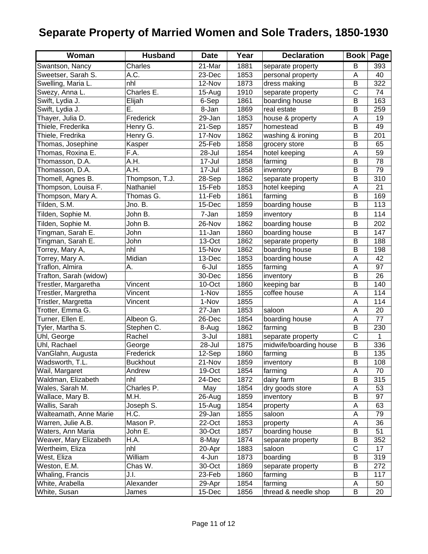| Woman                  | <b>Husband</b>  | <b>Date</b> | Year | <b>Declaration</b>     |   | <b>Book Page</b> |
|------------------------|-----------------|-------------|------|------------------------|---|------------------|
| Swantson, Nancy        | Charles         | 21-Mar      | 1881 | separate property      | В | 393              |
| Sweetser, Sarah S.     | A.C.            | 23-Dec      | 1853 | personal property      | A | 40               |
| Swelling, Maria L.     | nhl             | 12-Nov      | 1873 | dress making           | B | 322              |
| Swezy, Anna L.         | Charles E.      | $15-Aug$    | 1910 | separate property      | C | 74               |
| Swift, Lydia J.        | Elijah          | 6-Sep       | 1861 | boarding house         | B | 163              |
| Swift, Lydia J.        | Ε.              | 8-Jan       | 1869 | real estate            | B | 259              |
| Thayer, Julia D.       | Frederick       | 29-Jan      | 1853 | house & property       | A | 19               |
| Thiele, Frederika      | Henry G.        | $21-Sep$    | 1857 | homestead              | B | 49               |
| Thiele, Fredrika       | Henry G.        | 17-Nov      | 1862 | washing & ironing      | B | 201              |
| Thomas, Josephine      | Kasper          | 25-Feb      | 1858 | grocery store          | B | 65               |
| Thomas, Roxina E.      | F.A.            | 28-Jul      | 1854 | hotel keeping          | Α | 59               |
| Thomasson, D.A.        | A.H.            | 17-Jul      | 1858 | farming                | B | 78               |
| Thomasson, D.A.        | A.H.            | 17-Jul      | 1858 | inventory              | B | 79               |
| Thomell, Agnes B.      | Thompson, T.J.  | 28-Sep      | 1862 | separate property      | B | 310              |
| Thompson, Louisa F.    | Nathaniel       | 15-Feb      | 1853 | hotel keeping          | Α | 21               |
| Thompson, Mary A.      | Thomas G.       | 11-Feb      | 1861 | farming                | В | 169              |
| Tilden, S.M.           | Jno. B.         | 15-Dec      | 1859 | boarding house         | B | 113              |
| Tilden, Sophie M.      | John B.         | 7-Jan       | 1859 | inventory              | В | 114              |
| Tilden, Sophie M.      | John B.         | 26-Nov      | 1862 | boarding house         | B | 202              |
| Tingman, Sarah E.      | John            | 11-Jan      | 1860 | boarding house         | B | 147              |
| Tingman, Sarah E.      | John            | 13-Oct      | 1862 | separate property      | B | 188              |
| Torrey, Mary A,        | nhl             | 15-Nov      | 1862 | boarding house         | B | 198              |
| Torrey, Mary A.        | Midian          | 13-Dec      | 1853 | boarding house         | A | 42               |
| Traflon, Almira        | Α.              | 6-Jul       | 1855 | farming                | A | 97               |
| Trafton, Sarah (widow) |                 | $30 - Dec$  | 1856 | inventory              | B | 26               |
| Trestler, Margaretha   | Vincent         | 10-Oct      | 1860 | keeping bar            | B | 140              |
| Trestler, Margretha    | Vincent         | 1-Nov       | 1855 | coffee house           | A | 114              |
| Tristler, Margretta    | Vincent         | 1-Nov       | 1855 |                        | A | 114              |
| Trotter, Emma G.       |                 | 27-Jan      | 1853 | saloon                 | A | 20               |
| Turner, Ellen E.       | Albeon G.       | 26-Dec      | 1854 | boarding house         | A | 77               |
| Tyler, Martha S.       | Stephen C.      | 8-Aug       | 1862 | farming                | B | 230              |
| Uhl, George            | Rachel          | 3-Jul       | 1881 | separate property      | C | 1                |
| Uhl, Rachael           | George          | 28-Jul      | 1875 | midwife/boarding house | B | 336              |
| VanGlahn, Augusta      | Frederick       | $12-Sep$    | 1860 | farming                | B | 135              |
| Wadsworth, T.L.        | <b>Buckhout</b> | 21-Nov      | 1859 | inventory              | B | 108              |
| Wail, Margaret         | Andrew          | 19-Oct      | 1854 | farming                | Α | 70               |
| Waldman, Elizabeth     | nhl             | 24-Dec      | 1872 | dairy farm             | В | 315              |
| Wales, Sarah M.        | Charles P.      | May         | 1854 | dry goods store        | Α | 53               |
| Wallace, Mary B.       | M.H.            | 26-Aug      | 1859 | inventory              | B | 97               |
| Wallis, Sarah          | Joseph S.       | $15 - Aug$  | 1854 | property               | Α | 63               |
| Walteamath, Anne Marie | H.C.            | 29-Jan      | 1855 | saloon                 | A | 79               |
| Warren, Julie A.B.     | Mason P.        | 22-Oct      | 1853 | property               | Α | 36               |
| Waters, Ann Maria      | John E.         | 30-Oct      | 1857 | boarding house         | B | 51               |
| Weaver, Mary Elizabeth | H.A.            | 8-May       | 1874 | separate property      | B | 352              |
| Wertheim, Eliza        | nhl             | 20-Apr      | 1883 | saloon                 | С | 17               |
| West, Eliza            | William         | 4-Jun       | 1873 | boarding               | B | 319              |
| Weston, E.M.           | Chas W.         | 30-Oct      | 1869 | separate property      | Β | 272              |
| Whaling, Francis       | J.I.            | 23-Feb      | 1860 | farming                | В | 117              |
| White, Arabella        | Alexander       | 29-Apr      | 1854 | farming                | A | 50               |
| White, Susan           | James           | 15-Dec      | 1856 | thread & needle shop   | B | 20               |